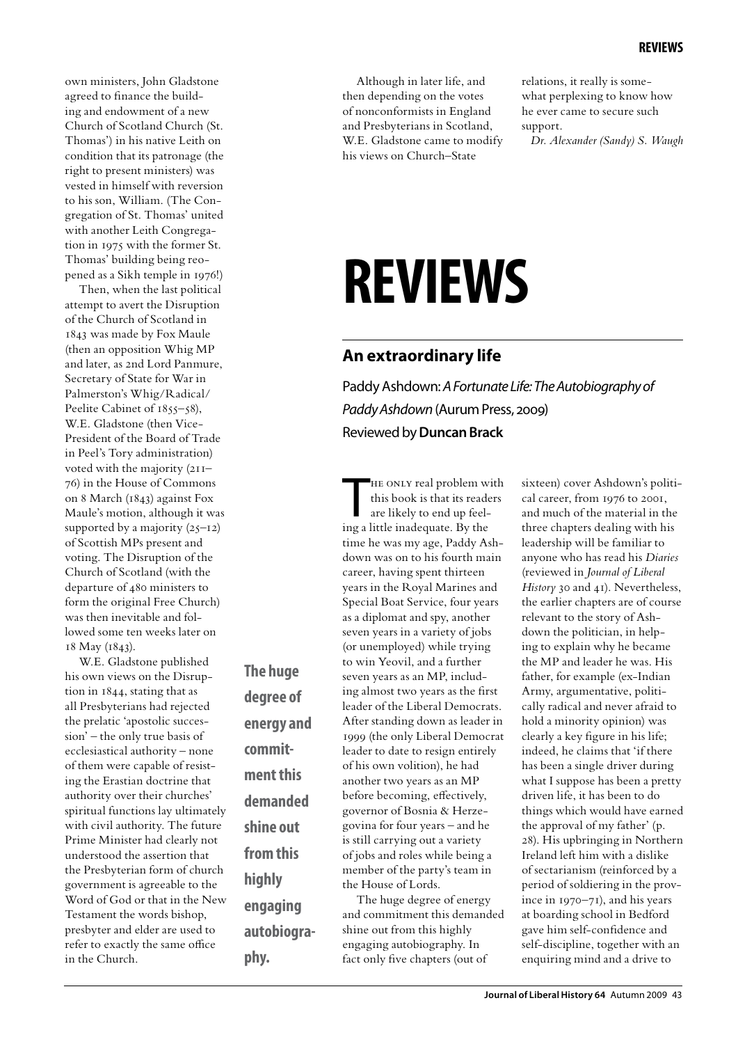own ministers, John Gladstone agreed to finance the building and endowment of a new Church of Scotland Church (St. Thomas') in his native Leith on condition that its patronage (the right to present ministers) was vested in himself with reversion to his son, William. (The Congregation of St. Thomas' united with another Leith Congregation in 1975 with the former St. Thomas' building being reopened as a Sikh temple in 1976!)

Then, when the last political attempt to avert the Disruption of the Church of Scotland in 1843 was made by Fox Maule (then an opposition Whig MP and later, as 2nd Lord Panmure, Secretary of State for War in Palmerston's Whig/Radical/ Peelite Cabinet of 1855–58), W.E. Gladstone (then Vice-President of the Board of Trade in Peel's Tory administration) voted with the majority (211– 76) in the House of Commons on 8 March (1843) against Fox Maule's motion, although it was supported by a majority  $(25-12)$ of Scottish MPs present and voting. The Disruption of the Church of Scotland (with the departure of 480 ministers to form the original Free Church) was then inevitable and followed some ten weeks later on 18 May (1843).

W.E. Gladstone published his own views on the Disruption in 1844, stating that as all Presbyterians had rejected the prelatic 'apostolic succession' – the only true basis of ecclesiastical authority – none of them were capable of resisting the Erastian doctrine that authority over their churches' spiritual functions lay ultimately with civil authority. The future Prime Minister had clearly not understood the assertion that the Presbyterian form of church government is agreeable to the Word of God or that in the New Testament the words bishop, presbyter and elder are used to refer to exactly the same office in the Church.

**The huge degree of energy and commitment this demanded shine out from this highly engaging autobiography.**

down was on to his fourth main career, having spent thirteen years in the Royal Marines and Special Boat Service, four years as a diplomat and spy, another seven years in a variety of jobs (or unemployed) while trying to win Yeovil, and a further seven years as an MP, including almost two years as the first leader of the Liberal Democrats. After standing down as leader in 1999 (the only Liberal Democrat leader to date to resign entirely of his own volition), he had another two years as an MP before becoming, effectively, governor of Bosnia & Herzegovina for four years – and he is still carrying out a variety of jobs and roles while being a member of the party's team in the House of Lords. The huge degree of energy

and commitment this demanded shine out from this highly engaging autobiography. In fact only five chapters (out of

relations, it really is somewhat perplexing to know how he ever came to secure such support.

*Dr. Alexander (Sandy) S. Waugh*

# **reviews**

## **An extraordinary life**

Although in later life, and then depending on the votes of nonconformists in England and Presbyterians in Scotland, W.E. Gladstone came to modify his views on Church–State

HE ONLY real problem w.<br>this book is that its reade<br>are likely to end up feel-<br>ing a little inadequate. By the

time he was my age, Paddy Ash-

HE ONLY real problem with this book is that its readers are likely to end up feel-

Paddy Ashdown: *A Fortunate Life: The Autobiography of Paddy Ashdown* (Aurum Press, 2009) Reviewed by **Duncan Brack**

> sixteen) cover Ashdown's political career, from 1976 to 2001, and much of the material in the three chapters dealing with his leadership will be familiar to anyone who has read his *Diaries* (reviewed in *Journal of Liberal History* 30 and 41). Nevertheless, the earlier chapters are of course relevant to the story of Ashdown the politician, in helping to explain why he became the MP and leader he was. His father, for example (ex-Indian Army, argumentative, politically radical and never afraid to hold a minority opinion) was clearly a key figure in his life; indeed, he claims that 'if there has been a single driver during what I suppose has been a pretty driven life, it has been to do things which would have earned the approval of my father' (p. 28). His upbringing in Northern Ireland left him with a dislike of sectarianism (reinforced by a period of soldiering in the province in 1970–71), and his years at boarding school in Bedford gave him self-confidence and self-discipline, together with an enquiring mind and a drive to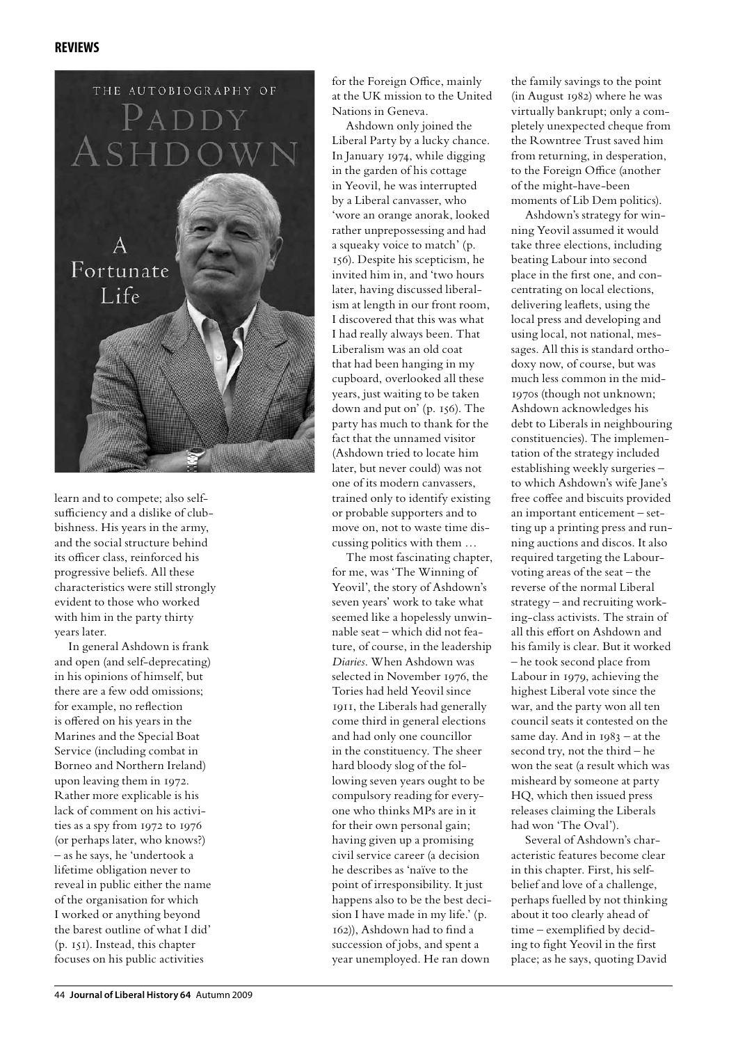#### **reviews**



learn and to compete; also selfsufficiency and a dislike of clubbishness. His years in the army, and the social structure behind its officer class, reinforced his progressive beliefs. All these characteristics were still strongly evident to those who worked with him in the party thirty years later.

In general Ashdown is frank and open (and self-deprecating) in his opinions of himself, but there are a few odd omissions; for example, no reflection is offered on his years in the Marines and the Special Boat Service (including combat in Borneo and Northern Ireland) upon leaving them in 1972. Rather more explicable is his lack of comment on his activities as a spy from 1972 to 1976 (or perhaps later, who knows?) – as he says, he 'undertook a lifetime obligation never to reveal in public either the name of the organisation for which I worked or anything beyond the barest outline of what I did' (p. 151). Instead, this chapter focuses on his public activities

for the Foreign Office, mainly at the UK mission to the United Nations in Geneva.

Ashdown only joined the Liberal Party by a lucky chance. In January 1974, while digging in the garden of his cottage in Yeovil, he was interrupted by a Liberal canvasser, who 'wore an orange anorak, looked rather unprepossessing and had a squeaky voice to match' (p. 156). Despite his scepticism, he invited him in, and 'two hours later, having discussed liberalism at length in our front room, I discovered that this was what I had really always been. That Liberalism was an old coat that had been hanging in my cupboard, overlooked all these years, just waiting to be taken down and put on' (p. 156). The party has much to thank for the fact that the unnamed visitor (Ashdown tried to locate him later, but never could) was not one of its modern canvassers, trained only to identify existing or probable supporters and to move on, not to waste time discussing politics with them …

The most fascinating chapter, for me, was 'The Winning of Yeovil', the story of Ashdown's seven years' work to take what seemed like a hopelessly unwinnable seat – which did not feature, of course, in the leadership *Diaries*. When Ashdown was selected in November 1976, the Tories had held Yeovil since 1911, the Liberals had generally come third in general elections and had only one councillor in the constituency. The sheer hard bloody slog of the following seven years ought to be compulsory reading for everyone who thinks MPs are in it for their own personal gain; having given up a promising civil service career (a decision he describes as 'naïve to the point of irresponsibility. It just happens also to be the best decision I have made in my life.' (p. 162)), Ashdown had to find a succession of jobs, and spent a year unemployed. He ran down

the family savings to the point (in August 1982) where he was virtually bankrupt; only a completely unexpected cheque from the Rowntree Trust saved him from returning, in desperation, to the Foreign Office (another of the might-have-been moments of Lib Dem politics).

Ashdown's strategy for winning Yeovil assumed it would take three elections, including beating Labour into second place in the first one, and concentrating on local elections, delivering leaflets, using the local press and developing and using local, not national, messages. All this is standard orthodoxy now, of course, but was much less common in the mid-1970s (though not unknown; Ashdown acknowledges his debt to Liberals in neighbouring constituencies). The implementation of the strategy included establishing weekly surgeries – to which Ashdown's wife Jane's free coffee and biscuits provided an important enticement – setting up a printing press and running auctions and discos. It also required targeting the Labourvoting areas of the seat – the reverse of the normal Liberal strategy – and recruiting working-class activists. The strain of all this effort on Ashdown and his family is clear. But it worked – he took second place from Labour in 1979, achieving the highest Liberal vote since the war, and the party won all ten council seats it contested on the same day. And in  $1983 - at the$ second try, not the third – he won the seat (a result which was misheard by someone at party HQ, which then issued press releases claiming the Liberals had won 'The Oval').

Several of Ashdown's characteristic features become clear in this chapter. First, his selfbelief and love of a challenge, perhaps fuelled by not thinking about it too clearly ahead of time – exemplified by deciding to fight Yeovil in the first place; as he says, quoting David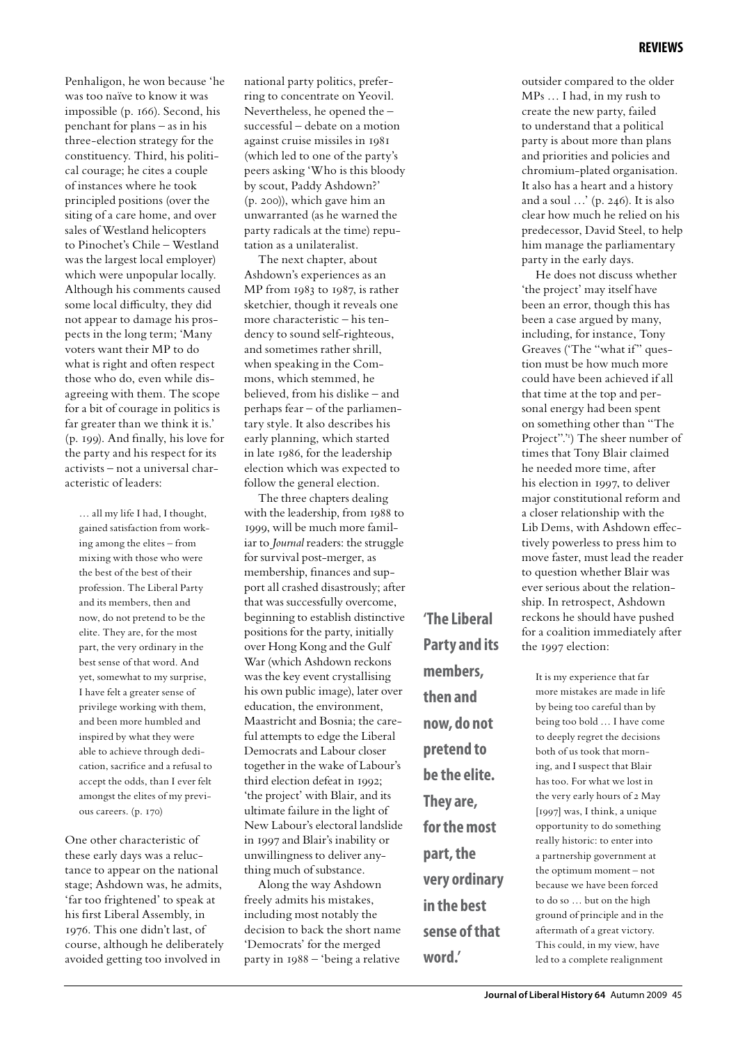Penhaligon, he won because 'he was too naïve to know it was impossible (p. 166). Second, his penchant for plans – as in his three-election strategy for the constituency. Third, his political courage; he cites a couple of instances where he took principled positions (over the siting of a care home, and over sales of Westland helicopters to Pinochet's Chile – Westland was the largest local employer) which were unpopular locally. Although his comments caused some local difficulty, they did not appear to damage his prospects in the long term; 'Many voters want their MP to do what is right and often respect those who do, even while disagreeing with them. The scope for a bit of courage in politics is far greater than we think it is.' (p. 199). And finally, his love for the party and his respect for its activists – not a universal characteristic of leaders:

… all my life I had, I thought, gained satisfaction from working among the elites – from mixing with those who were the best of the best of their profession. The Liberal Party and its members, then and now, do not pretend to be the elite. They are, for the most part, the very ordinary in the best sense of that word. And yet, somewhat to my surprise, I have felt a greater sense of privilege working with them, and been more humbled and inspired by what they were able to achieve through dedication, sacrifice and a refusal to accept the odds, than I ever felt amongst the elites of my previous careers. (p. 170)

One other characteristic of these early days was a reluctance to appear on the national stage; Ashdown was, he admits, 'far too frightened' to speak at his first Liberal Assembly, in 1976. This one didn't last, of course, although he deliberately avoided getting too involved in

national party politics, preferring to concentrate on Yeovil. Nevertheless, he opened the – successful – debate on a motion against cruise missiles in 1981 (which led to one of the party's peers asking 'Who is this bloody by scout, Paddy Ashdown?' (p. 200)), which gave him an unwarranted (as he warned the party radicals at the time) reputation as a unilateralist.

The next chapter, about Ashdown's experiences as an MP from 1983 to 1987, is rather sketchier, though it reveals one more characteristic – his tendency to sound self-righteous, and sometimes rather shrill, when speaking in the Commons, which stemmed, he believed, from his dislike – and perhaps fear – of the parliamentary style. It also describes his early planning, which started in late 1986, for the leadership election which was expected to follow the general election.

The three chapters dealing with the leadership, from 1988 to 1999, will be much more familiar to *Journal* readers: the struggle for survival post-merger, as membership, finances and support all crashed disastrously; after that was successfully overcome, beginning to establish distinctive positions for the party, initially over Hong Kong and the Gulf War (which Ashdown reckons was the key event crystallising his own public image), later over education, the environment, Maastricht and Bosnia; the careful attempts to edge the Liberal Democrats and Labour closer together in the wake of Labour's third election defeat in 1992; 'the project' with Blair, and its ultimate failure in the light of New Labour's electoral landslide in 1997 and Blair's inability or unwillingness to deliver anything much of substance.

Along the way Ashdown freely admits his mistakes, including most notably the decision to back the short name 'Democrats' for the merged party in 1988 – 'being a relative

**'The Liberal Party and its members, then and now, do not pretend to be the elite. They are, for the most part, the very ordinary in the best sense of that** 

**word.'**

outsider compared to the older MPs … I had, in my rush to create the new party, failed to understand that a political party is about more than plans and priorities and policies and chromium-plated organisation. It also has a heart and a history and a soul …' (p. 246). It is also clear how much he relied on his predecessor, David Steel, to help him manage the parliamentary party in the early days.

He does not discuss whether 'the project' may itself have been an error, though this has been a case argued by many, including, for instance, Tony Greaves ('The "what if" question must be how much more could have been achieved if all that time at the top and personal energy had been spent on something other than "The Project".") The sheer number of times that Tony Blair claimed he needed more time, after his election in 1997, to deliver major constitutional reform and a closer relationship with the Lib Dems, with Ashdown effectively powerless to press him to move faster, must lead the reader to question whether Blair was ever serious about the relationship. In retrospect, Ashdown reckons he should have pushed for a coalition immediately after the 1997 election:

It is my experience that far more mistakes are made in life by being too careful than by being too bold … I have come to deeply regret the decisions both of us took that morning, and I suspect that Blair has too. For what we lost in the very early hours of 2 May [1997] was, I think, a unique opportunity to do something really historic: to enter into a partnership government at the optimum moment – not because we have been forced to do so … but on the high ground of principle and in the aftermath of a great victory. This could, in my view, have led to a complete realignment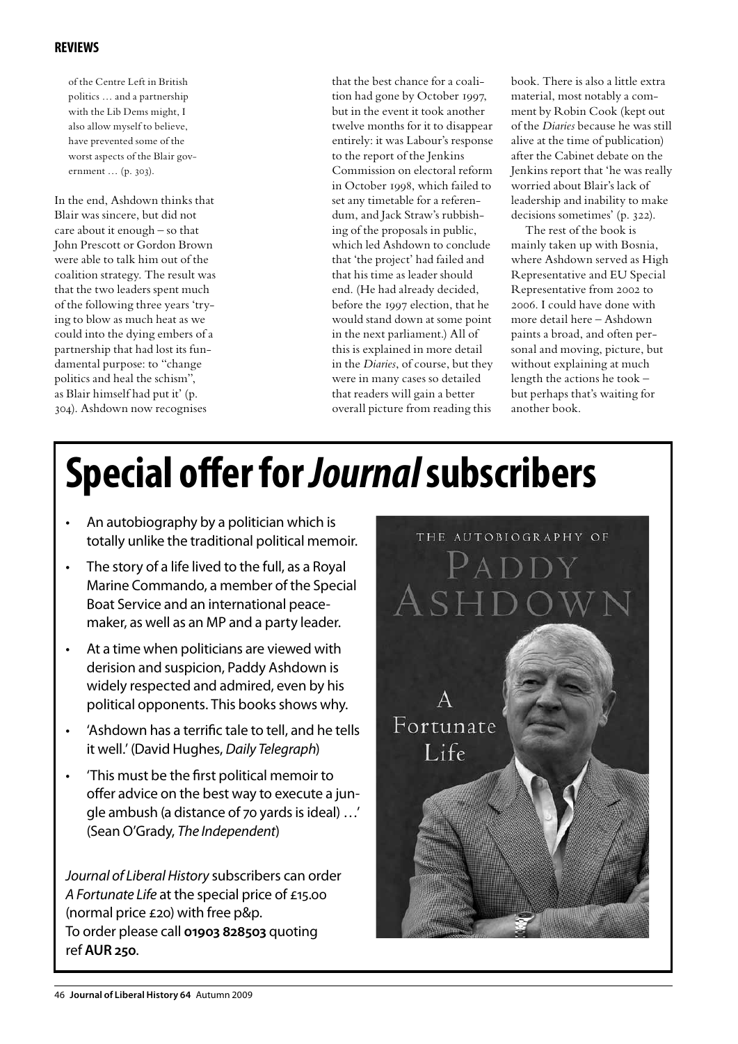#### **reviews**

of the Centre Left in British politics … and a partnership with the Lib Dems might, I also allow myself to believe, have prevented some of the worst aspects of the Blair government … (p. 303).

In the end, Ashdown thinks that Blair was sincere, but did not care about it enough – so that John Prescott or Gordon Brown were able to talk him out of the coalition strategy. The result was that the two leaders spent much of the following three years 'trying to blow as much heat as we could into the dying embers of a partnership that had lost its fundamental purpose: to "change politics and heal the schism", as Blair himself had put it' (p. 304). Ashdown now recognises

that the best chance for a coalition had gone by October 1997, but in the event it took another twelve months for it to disappear entirely: it was Labour's response to the report of the Jenkins Commission on electoral reform in October 1998, which failed to set any timetable for a referendum, and Jack Straw's rubbishing of the proposals in public, which led Ashdown to conclude that 'the project' had failed and that his time as leader should end. (He had already decided, before the 1997 election, that he would stand down at some point in the next parliament.) All of this is explained in more detail in the *Diaries*, of course, but they were in many cases so detailed that readers will gain a better overall picture from reading this

book. There is also a little extra material, most notably a comment by Robin Cook (kept out of the *Diaries* because he was still alive at the time of publication) after the Cabinet debate on the Jenkins report that 'he was really worried about Blair's lack of leadership and inability to make decisions sometimes' (p. 322).

The rest of the book is mainly taken up with Bosnia, where Ashdown served as High Representative and EU Special Representative from 2002 to 2006. I could have done with more detail here – Ashdown paints a broad, and often personal and moving, picture, but without explaining at much length the actions he took – but perhaps that's waiting for another book.

# **Special offer for** *Journal* **subscribers**

- An autobiography by a politician which is totally unlike the traditional political memoir.
- The story of a life lived to the full, as a Royal Marine Commando, a member of the Special Boat Service and an international peacemaker, as well as an MP and a party leader.
- At a time when politicians are viewed with derision and suspicion, Paddy Ashdown is widely respected and admired, even by his political opponents. This books shows why.
- 'Ashdown has a terrific tale to tell, and he tells it well.' (David Hughes, *Daily Telegraph*)
- • 'This must be the first political memoir to offer advice on the best way to execute a jungle ambush (a distance of 70 yards is ideal) …' (Sean O'Grady, *The Independent*)

*Journal of Liberal History* subscribers can order *A Fortunate Life* at the special price of £15.00 (normal price £20) with free p&p. To order please call **01903 828503** quoting ref **AUR 250**.